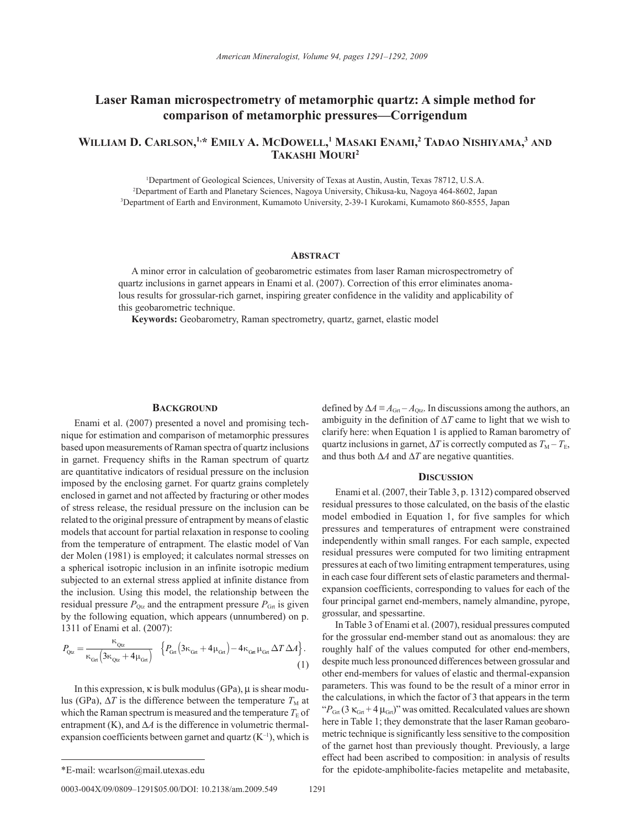# **Laser Raman microspectrometry of metamorphic quartz: A simple method for comparison of metamorphic pressures—Corrigendum**

## **William D. Carlson, 1,\* Emily A. McDowell, <sup>1</sup> Masaki Enami, 2 Tadao Nishiyama, <sup>3</sup> and Takashi Mouri2**

1 Department of Geological Sciences, University of Texas at Austin, Austin, Texas 78712, U.S.A. 2 Department of Earth and Planetary Sciences, Nagoya University, Chikusa-ku, Nagoya 464-8602, Japan 3 Department of Earth and Environment, Kumamoto University, 2-39-1 Kurokami, Kumamoto 860-8555, Japan

### **Abstract**

A minor error in calculation of geobarometric estimates from laser Raman microspectrometry of quartz inclusions in garnet appears in Enami et al. (2007). Correction of this error eliminates anomalous results for grossular-rich garnet, inspiring greater confidence in the validity and applicability of this geobarometric technique.

**Keywords:** Geobarometry, Raman spectrometry, quartz, garnet, elastic model

#### **BACKGROUND**

Enami et al. (2007) presented a novel and promising technique for estimation and comparison of metamorphic pressures based upon measurements of Raman spectra of quartz inclusions in garnet. Frequency shifts in the Raman spectrum of quartz are quantitative indicators of residual pressure on the inclusion imposed by the enclosing garnet. For quartz grains completely enclosed in garnet and not affected by fracturing or other modes of stress release, the residual pressure on the inclusion can be related to the original pressure of entrapment by means of elastic models that account for partial relaxation in response to cooling from the temperature of entrapment. The elastic model of Van der Molen (1981) is employed; it calculates normal stresses on a spherical isotropic inclusion in an infinite isotropic medium subjected to an external stress applied at infinite distance from the inclusion. Using this model, the relationship between the residual pressure  $P_{\text{Otz}}$  and the entrapment pressure  $P_{\text{Grt}}$  is given by the following equation, which appears (unnumbered) on p. 1311 of Enami et al. (2007):

$$
P_{\rm Qiz} = \frac{\kappa_{\rm Qiz}}{\kappa_{\rm Gr} \left(3\kappa_{\rm Qiz} + 4\mu_{\rm Gr}\right)} \quad \left\{P_{\rm Gr}\left(3\kappa_{\rm Gr} + 4\mu_{\rm Gr}\right) - 4\kappa_{\rm Gr}\,\mu_{\rm Gr}\,\Delta T\,\Delta A\right\}.
$$
\n(1)

In this expression, κ is bulk modulus (GPa), μ is shear modulus (GPa),  $\Delta T$  is the difference between the temperature  $T_M$  at which the Raman spectrum is measured and the temperature  $T<sub>E</sub>$  of entrapment (K), and ∆*A* is the difference in volumetric thermalexpansion coefficients between garnet and quartz  $(K^{-1})$ , which is

0003-004X/09/0809-1291\$05.00/DOI: 10.2138/am.2009.549 1291

defined by  $\Delta A \equiv A_{\text{Grt}} - A_{\text{Qtz}}$ . In discussions among the authors, an ambiguity in the definition of ∆*T* came to light that we wish to clarify here: when Equation 1 is applied to Raman barometry of quartz inclusions in garnet,  $\Delta T$  is correctly computed as  $T_M - T_E$ , and thus both ∆*A* and ∆*T* are negative quantities.

#### **Discussion**

Enami et al. (2007, their Table 3, p. 1312) compared observed residual pressures to those calculated, on the basis of the elastic model embodied in Equation 1, for five samples for which pressures and temperatures of entrapment were constrained independently within small ranges. For each sample, expected residual pressures were computed for two limiting entrapment pressures at each of two limiting entrapment temperatures, using in each case four different sets of elastic parameters and thermalexpansion coefficients, corresponding to values for each of the four principal garnet end-members, namely almandine, pyrope, grossular, and spessartine.

In Table 3 of Enami et al. (2007), residual pressures computed for the grossular end-member stand out as anomalous: they are roughly half of the values computed for other end-members, despite much less pronounced differences between grossular and other end-members for values of elastic and thermal-expansion parameters. This was found to be the result of a minor error in the calculations, in which the factor of 3 that appears in the term " $P_{\text{Grt}}$  (3  $\kappa_{\text{Grt}}$  + 4  $\mu_{\text{Grt}}$ )" was omitted. Recalculated values are shown here in Table 1; they demonstrate that the laser Raman geobarometric technique is significantly less sensitive to the composition of the garnet host than previously thought. Previously, a large effect had been ascribed to composition: in analysis of results \*E-mail: wcarlson@mail.utexas.edu for the epidote-amphibolite-facies metapelite and metabasite,